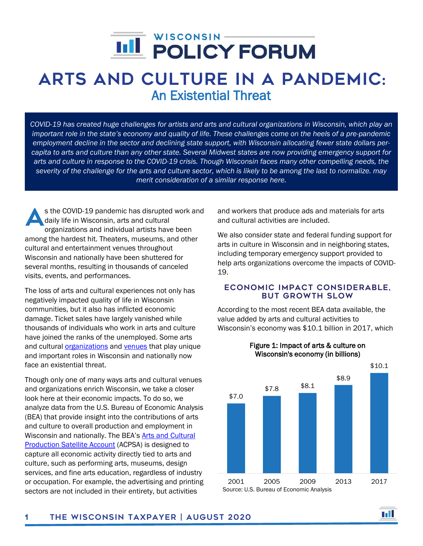# j

## Arts and Culture in a Pandemic: An Existential Threat

*COVID-19 has created huge challenges for artists and arts and cultural organizations in Wisconsin, which play an important role in the state's economy and quality of life. These challenges come on the heels of a pre-pandemic employment decline in the sector and declining state support, with Wisconsin allocating fewer state dollars percapita to arts and culture than any other state. Several Midwest states are now providing emergency support for arts and culture in response to the COVID-19 crisis. Though Wisconsin faces many other compelling needs, the severity of the challenge for the arts and culture sector, which is likely to be among the last to normalize. may merit consideration of a similar response here.*

s the COVID-19 pandemic has disrupted work and daily life in Wisconsin, arts and cultural organizations and individual artists have been among the hardest hit. Theaters, museums, and other cultural and entertainment venues throughout Wisconsin and nationally have been shuttered for several months, resulting in thousands of canceled visits, events, and performances. A

The loss of arts and cultural experiences not only has negatively impacted quality of life in Wisconsin communities, but it also has inflicted economic damage. Ticket sales have largely vanished while thousands of individuals who work in arts and culture have joined the ranks of the unemployed. Some arts and cultural *organizations* and [venues](https://www.npr.org/sections/coronavirus-live-updates/2020/06/09/873196748/americas-independent-music-venues-could-close-soon-due-to-coronavirus) that play unique and important roles in Wisconsin and nationally now face an existential threat.

Though only one of many ways arts and cultural venues and organizations enrich Wisconsin, we take a closer look here at their economic impacts. To do so, we analyze data from the U.S. Bureau of Economic Analysis (BEA) that provide insight into the contributions of arts and culture to overall production and employment in Wisconsin and nationally. The BEA's [Arts and Cultural](https://www.bea.gov/data/special-topics/arts-and-culture)  [Production Satellite Account](https://www.bea.gov/data/special-topics/arts-and-culture) (ACPSA) is designed to capture all economic activity directly tied to arts and culture, such as performing arts, museums, design services, and fine arts education, regardless of industry or occupation. For example, the advertising and printing sectors are not included in their entirety, but activities

and workers that produce ads and materials for arts and cultural activities are included.

We also consider state and federal funding support for arts in culture in Wisconsin and in neighboring states, including temporary emergency support provided to help arts organizations overcome the impacts of COVID-19.

#### Economic impact considerable, but growth slow

According to the most recent BEA data available, the value added by arts and cultural activities to Wisconsin's economy was \$10.1 billion in 2017, which



H

#### Figure 1: Impact of arts & culture on Wisconsin's economy (in billions)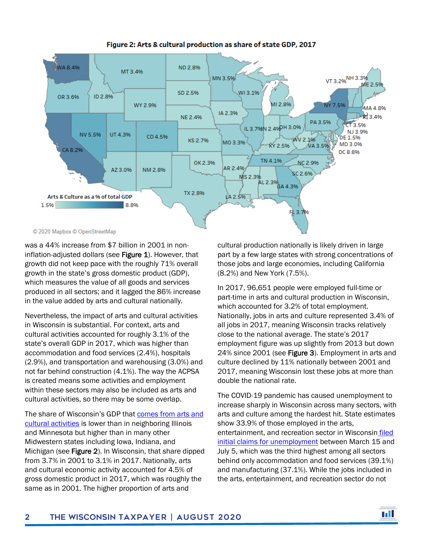

Figure 2: Arts & cultural production as share of state GDP, 2017

© 2020 Mapbox © OpenStreetMap

was a 44% increase from \$7 billion in 2001 in noninflation-adjusted dollars (see Figure 1). However, that growth did not keep pace with the roughly 71% overall growth in the state's gross domestic product (GDP), which measures the value of all goods and services produced in all sectors; and it lagged the 86% increase in the value added by arts and cultural nationally.

Nevertheless, the impact of arts and cultural activities in Wisconsin is substantial. For context, arts and cultural activities accounted for roughly 3.1% of the state's overall GDP in 2017, which was higher than accommodation and food services (2.4%), hospitals (2.9%), and transportation and warehousing (3.0%) and not far behind construction (4.1%). The way the ACPSA is created means some activities and employment within these sectors may also be included as arts and cultural activities, so there may be some overlap.

The share of Wisconsin's GDP that [comes from arts and](https://www.bea.gov/news/2020/arts-and-cultural-production-satellite-account-us-and-states-2017)  [cultural activities](https://www.bea.gov/news/2020/arts-and-cultural-production-satellite-account-us-and-states-2017) is lower than in neighboring Illinois and Minnesota but higher than in many other Midwestern states including Iowa, Indiana, and Michigan (see Figure 2). In Wisconsin, that share dipped from 3.7% in 2001 to 3.1% in 2017. Nationally, arts and cultural economic activity accounted for 4.5% of gross domestic product in 2017, which was roughly the same as in 2001. The higher proportion of arts and

cultural production nationally is likely driven in large part by a few large states with strong concentrations of those jobs and large economies, including California (8.2%) and New York (7.5%).

In 2017, 96,651 people were employed full-time or part-time in arts and cultural production in Wisconsin, which accounted for 3.2% of total employment. Nationally, jobs in arts and culture represented 3.4% of all jobs in 2017, meaning Wisconsin tracks relatively close to the national average. The state's 2017 employment figure was up slightly from 2013 but down 24% since 2001 (see Figure 3). Employment in arts and culture declined by 11% nationally between 2001 and 2017, meaning Wisconsin lost these jobs at more than double the national rate.

The COVID-19 pandemic has caused unemployment to increase sharply in Wisconsin across many sectors, with arts and culture among the hardest hit. State estimates show 33.9% of those employed in the arts, entertainment, and recreation sector in Wisconsin [filed](https://dwd.wisconsin.gov/uibola/uiac/materials/2020/20200716meeting.pdf)  [initial claims for unemployment](https://dwd.wisconsin.gov/uibola/uiac/materials/2020/20200716meeting.pdf) between March 15 and July 5, which was the third highest among all sectors behind only accommodation and food services (39.1%) and manufacturing (37.1%). While the jobs included in the arts, entertainment, and recreation sector do not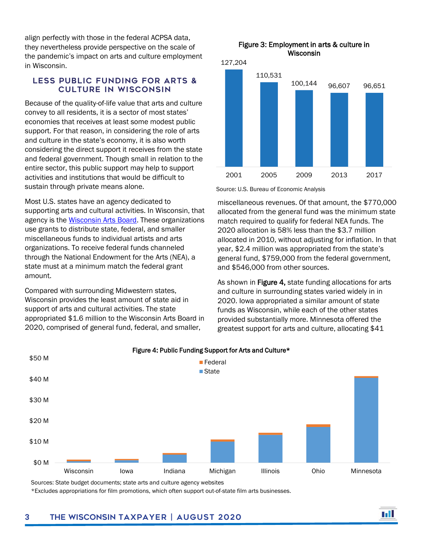align perfectly with those in the federal ACPSA data, they nevertheless provide perspective on the scale of the pandemic's impact on arts and culture employment in Wisconsin.

#### Less public funding for arts & culture in Wisconsin

Because of the quality-of-life value that arts and culture convey to all residents, it is a sector of most states' economies that receives at least some modest public support. For that reason, in considering the role of arts and culture in the state's economy, it is also worth considering the direct support it receives from the state and federal government. Though small in relation to the entire sector, this public support may help to support activities and institutions that would be difficult to sustain through private means alone.

Most U.S. states have an agency dedicated to supporting arts and cultural activities. In Wisconsin, that agency is the [Wisconsin Arts Board.](https://artsboard.wisconsin.gov/Pages/home.aspx) These organizations use grants to distribute state, federal, and smaller miscellaneous funds to individual artists and arts organizations. To receive federal funds channeled through the National Endowment for the Arts (NEA), a state must at a minimum match the federal grant amount.

Compared with surrounding Midwestern states, Wisconsin provides the least amount of state aid in support of arts and cultural activities. The state appropriated \$1.6 million to the Wisconsin Arts Board in 2020, comprised of general fund, federal, and smaller,





Source: U.S. Bureau of Economic Analysis

miscellaneous revenues. Of that amount, the \$770,000 allocated from the general fund was the minimum state match required to qualify for federal NEA funds. The 2020 allocation is 58% less than the \$3.7 million allocated in 2010, without adjusting for inflation. In that year, \$2.4 million was appropriated from the state's general fund, \$759,000 from the federal government, and \$546,000 from other sources.

As shown in Figure 4, state funding allocations for arts and culture in surrounding states varied widely in in 2020. Iowa appropriated a similar amount of state funds as Wisconsin, while each of the other states provided substantially more. Minnesota offered the greatest support for arts and culture, allocating \$41



#### Figure 4: Public Funding Support for Arts and Culture\*

Sources: State budget documents; state arts and culture agency websites

\*Excludes appropriations for film promotions, which often support out-of-state film arts businesses.

### 3 The Wisconsin Taxpayer | August 2020

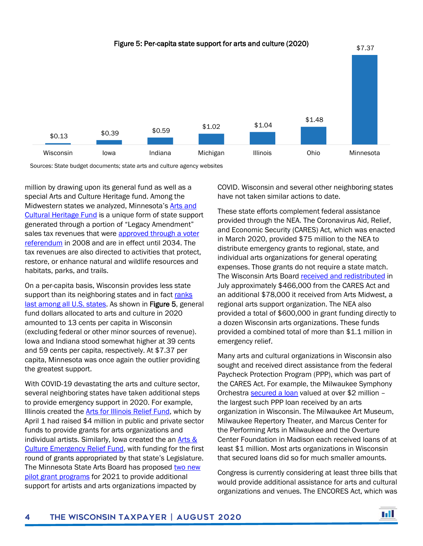

Sources: State budget documents; state arts and culture agency websites

million by drawing upon its general fund as well as a special Arts and Culture Heritage fund. Among the Midwestern states we analyzed, Minnesota's [Arts and](https://www.legacy.mn.gov/arts-cultural-heritage-fund)  [Cultural Heritage Fund](https://www.legacy.mn.gov/arts-cultural-heritage-fund) is a unique form of state support generated through a portion of "Legacy Amendment" sales tax revenues that were approved through a voter [referendum](https://www.house.leg.state.mn.us/SessionDaily/Story/13471) in 2008 and are in effect until 2034. The tax revenues are also directed to activities that protect, restore, or enhance natural and wildlife resources and habitats, parks, and trails.

On a per-capita basis, Wisconsin provides less state support than its neighboring states and in fact ranks [last among all U.S. states.](https://nasaa-arts.org/nasaa_research/raise-your-ranking/) As shown in Figure 5, general fund dollars allocated to arts and culture in 2020 amounted to 13 cents per capita in Wisconsin (excluding federal or other minor sources of revenue). Iowa and Indiana stood somewhat higher at 39 cents and 59 cents per capita, respectively. At \$7.37 per capita, Minnesota was once again the outlier providing the greatest support.

With COVID-19 devastating the arts and culture sector, several neighboring states have taken additional steps to provide emergency support in 2020. For example, Illinois created the **Arts for Illinois Relief Fund**, which by April 1 had raised \$4 million in public and private sector funds to provide grants for arts organizations and individual artists. Similarly, Iowa created the an  $Arts &$ [Culture Emergency Relief Fund,](https://iowaculture.gov/arts/grants/iowa-arts-emergency-relief-fund) with funding for the first round of grants appropriated by that state's Legislature. The Minnesota State Arts Board has proposed two new [pilot grant programs](http://www.arts.state.mn.us/grants/2021-grant-programs.htm) for 2021 to provide additional support for artists and arts organizations impacted by

COVID. Wisconsin and several other neighboring states have not taken similar actions to date.

These state efforts complement federal assistance provided through the NEA. The Coronavirus Aid, Relief, and Economic Security (CARES) Act, which was enacted in March 2020, provided \$75 million to the NEA to distribute emergency grants to regional, state, and individual arts organizations for general operating expenses. Those grants do not require a state match. The Wisconsin Arts Boar[d received and redistributed](https://www.jsonline.com/story/entertainment/2020/07/08/wisconsin-arts-board-nea-distribute-grants-milwaukee-arts-groups/5398739002/) in July approximately \$466,000 from the CARES Act and an additional \$78,000 it received from Arts Midwest, a regional arts support organization. The NEA also provided a total of \$600,000 in grant funding directly to a dozen Wisconsin arts organizations. These funds provided a combined total of more than \$1.1 million in emergency relief.

Many arts and cultural organizations in Wisconsin also sought and received direct assistance from the federal Paycheck Protection Program (PPP), which was part of the CARES Act. For example, the Milwaukee Symphony Orchestra [secured a loan](https://www.bizjournals.com/milwaukee/news/2020/07/09/ppp-helps-wisconsin-nonprofits-pay-staff-bills.html) valued at over \$2 million – the largest such PPP loan received by an arts organization in Wisconsin. The Milwaukee Art Museum, Milwaukee Repertory Theater, and Marcus Center for the Performing Arts in Milwaukee and the Overture Center Foundation in Madison each received loans of at least \$1 million. Most arts organizations in Wisconsin that secured loans did so for much smaller amounts.

Congress is currently considering at least three bills that would provide additional assistance for arts and cultural organizations and venues. The ENCORES Act, which was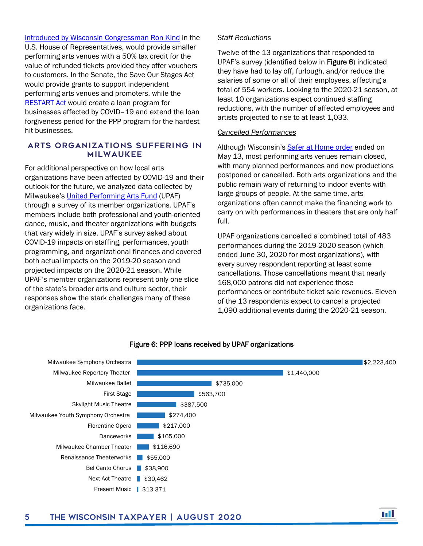[introduced by Wisconsin Congressman Ron Kind](https://www.jsonline.com/story/entertainment/music/2020/07/30/wisconsin-congressman-ron-kind-introduces-encores-act-help-music-venues-advice-justin-vernon/5545630002/) in the U.S. House of Representatives, would provide smaller performing arts venues with a 50% tax credit for the value of refunded tickets provided they offer vouchers to customers. In the Senate, the Save Our Stages Act would provide grants to support independent performing arts venues and promoters, while the [RESTART Act](https://www.congress.gov/bill/116th-congress/senate-bill/3814/text) would create a loan program for businesses affected by COVID–19 and extend the loan forgiveness period for the PPP program for the hardest hit businesses.

#### Arts organizations suffering in Milwaukee

For additional perspective on how local arts organizations have been affected by COVID-19 and their outlook for the future, we analyzed data collected by Milwaukee's [United Performing Arts Fund](https://upaf.org/) (UPAF) through a survey of its member organizations. UPAF's members include both professional and youth-oriented dance, music, and theater organizations with budgets that vary widely in size. UPAF's survey asked about COVID-19 impacts on staffing, performances, youth programming, and organizational finances and covered both actual impacts on the 2019-20 season and projected impacts on the 2020-21 season. While UPAF's member organizations represent only one slice of the state's broader arts and culture sector, their responses show the stark challenges many of these organizations face.

#### *Staff Reductions*

Twelve of the 13 organizations that responded to UPAF's survey (identified below in Figure 6) indicated they have had to lay off, furlough, and/or reduce the salaries of some or all of their employees, affecting a total of 554 workers. Looking to the 2020-21 season, at least 10 organizations expect continued staffing reductions, with the number of affected employees and artists projected to rise to at least 1,033.

#### *Cancelled Performances*

Although Wisconsin's [Safer at Home order](https://evers.wi.gov/Documents/COVID19/EMO28-SaferAtHome.pdf) ended on May 13, most performing arts venues remain closed, with many planned performances and new productions postponed or cancelled. Both arts organizations and the public remain wary of returning to indoor events with large groups of people. At the same time, arts organizations often cannot make the financing work to carry on with performances in theaters that are only half full.

UPAF organizations cancelled a combined total of 483 performances during the 2019-2020 season (which ended June 30, 2020 for most organizations), with every survey respondent reporting at least some cancellations. Those cancellations meant that nearly 168,000 patrons did not experience those performances or contribute ticket sale revenues. Eleven of the 13 respondents expect to cancel a projected 1,090 additional events during the 2020-21 season.



#### Figure 6: PPP loans received by UPAF organizations

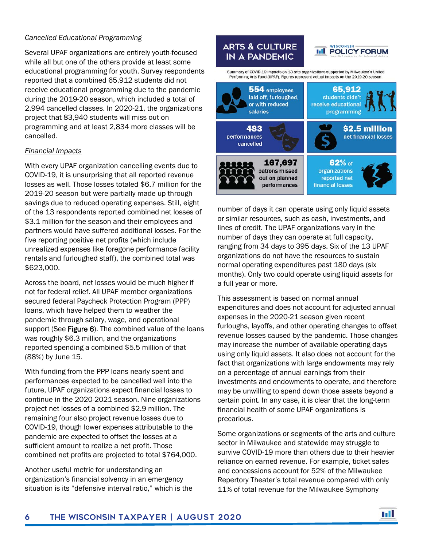#### *Cancelled Educational Programming*

Several UPAF organizations are entirely youth-focused while all but one of the others provide at least some educational programming for youth. Survey respondents reported that a combined 65,912 students did not receive educational programming due to the pandemic during the 2019-20 season, which included a total of 2,994 cancelled classes. In 2020-21, the organizations project that 83,940 students will miss out on programming and at least 2,834 more classes will be cancelled.

#### *Financial Impacts*

With every UPAF organization cancelling events due to COVID-19, it is unsurprising that all reported revenue losses as well. Those losses totaled \$6.7 million for the 2019-20 season but were partially made up through savings due to reduced operating expenses. Still, eight of the 13 respondents reported combined net losses of \$3.1 million for the season and their employees and partners would have suffered additional losses. For the five reporting positive net profits (which include unrealized expenses like foregone performance facility rentals and furloughed staff), the combined total was \$623,000.

Across the board, net losses would be much higher if not for federal relief. All UPAF member organizations secured federal Paycheck Protection Program (PPP) loans, which have helped them to weather the pandemic through salary, wage, and operational support (See Figure 6). The combined value of the loans was roughly \$6.3 million, and the organizations reported spending a combined \$5.5 million of that (88%) by June 15.

With funding from the PPP loans nearly spent and performances expected to be cancelled well into the future, UPAF organizations expect financial losses to continue in the 2020-2021 season. Nine organizations project net losses of a combined \$2.9 million. The remaining four also project revenue losses due to COVID-19, though lower expenses attributable to the pandemic are expected to offset the losses at a sufficient amount to realize a net profit. Those combined net profits are projected to total \$764,000.

Another useful metric for understanding an organization's financial solvency in an emergency situation is its "defensive interval ratio," which is the



number of days it can operate using only liquid assets or similar resources, such as cash, investments, and lines of credit. The UPAF organizations vary in the number of days they can operate at full capacity, ranging from 34 days to 395 days. Six of the 13 UPAF organizations do not have the resources to sustain normal operating expenditures past 180 days (six months). Only two could operate using liquid assets for a full year or more.

This assessment is based on normal annual expenditures and does not account for adjusted annual expenses in the 2020-21 season given recent furloughs, layoffs, and other operating changes to offset revenue losses caused by the pandemic. Those changes may increase the number of available operating days using only liquid assets. It also does not account for the fact that organizations with large endowments may rely on a percentage of annual earnings from their investments and endowments to operate, and therefore may be unwilling to spend down those assets beyond a certain point. In any case, it is clear that the long-term financial health of some UPAF organizations is precarious.

Some organizations or segments of the arts and culture sector in Milwaukee and statewide may struggle to survive COVID-19 more than others due to their heavier reliance on earned revenue. For example, ticket sales and concessions account for 52% of the Milwaukee Repertory Theater's total revenue compared with only 11% of total revenue for the Milwaukee Symphony